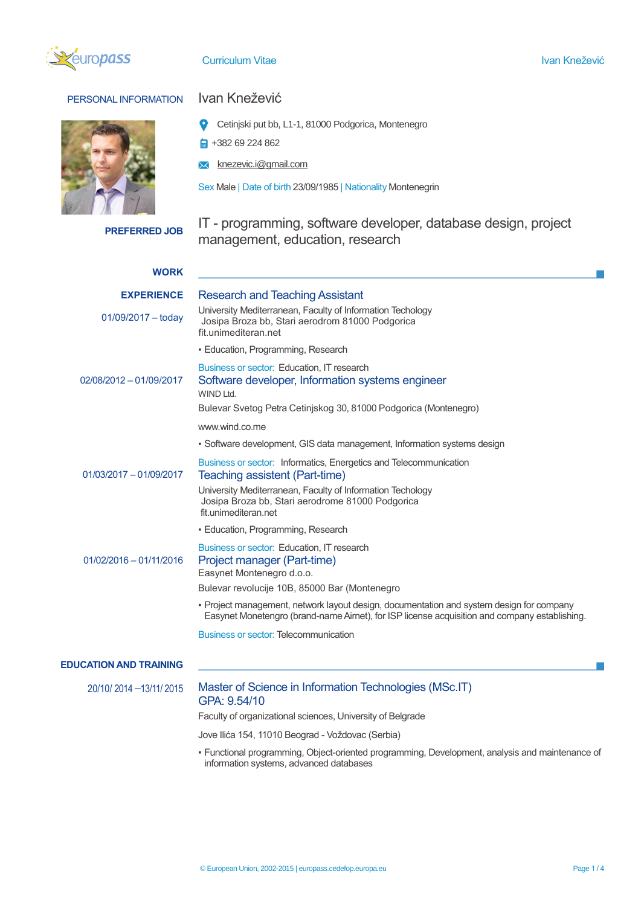

**Curriculum Vitae Ivan Knežević** Material Anticontest and Anticontest and Anticontest and Anticontest and Anticon

## PERSONAL INFORMATION Ivan Knežević

- Cetinjski put bb, L1-1, 81000 Podgorica, Montenegro
- $\frac{1}{2}$  +382 69 224 862
- **X** knezevic.i@gmail.com

Sex Male | Date of birth 23/09/1985 | Nationality Montenegrin

**PREFERRED JOB** IT - programming, software developer, database design, project management, education, research

| <b>WORK</b>                   |                                                                                                                                                                                           |
|-------------------------------|-------------------------------------------------------------------------------------------------------------------------------------------------------------------------------------------|
| <b>EXPERIENCE</b>             | <b>Research and Teaching Assistant</b>                                                                                                                                                    |
| $01/09/2017 -$ todav          | University Mediterranean, Faculty of Information Techology<br>Josipa Broza bb, Stari aerodrom 81000 Podgorica<br>fit.unimediteran.net                                                     |
|                               | · Education, Programming, Research                                                                                                                                                        |
| 02/08/2012 - 01/09/2017       | Business or sector: Education, IT research<br>Software developer, Information systems engineer<br>WIND Ltd.                                                                               |
|                               | Bulevar Svetog Petra Cetinjskog 30, 81000 Podgorica (Montenegro)                                                                                                                          |
|                               | www.wind.co.me                                                                                                                                                                            |
|                               | • Software development, GIS data management, Information systems design                                                                                                                   |
| 01/03/2017 - 01/09/2017       | Business or sector: Informatics, Energetics and Telecommunication<br>Teaching assistent (Part-time)                                                                                       |
|                               | University Mediterranean, Faculty of Information Techology<br>Josipa Broza bb, Stari aerodrome 81000 Podgorica<br>fit.unimediteran.net                                                    |
|                               | • Education, Programming, Research                                                                                                                                                        |
| 01/02/2016 - 01/11/2016       | Business or sector: Education, IT research<br>Project manager (Part-time)<br>Easynet Montenegro d.o.o.                                                                                    |
|                               | Bulevar revolucije 10B, 85000 Bar (Montenegro                                                                                                                                             |
|                               | • Project management, network layout design, documentation and system design for company<br>Easynet Monetengro (brand-name Airnet), for ISP license acquisition and company establishing. |
|                               | <b>Business or sector: Telecommunication</b>                                                                                                                                              |
| <b>EDUCATION AND TRAINING</b> |                                                                                                                                                                                           |
| 20/10/2014 -13/11/2015        | Master of Science in Information Technologies (MSc.IT)<br>GPA: 9.54/10                                                                                                                    |

Faculty of organizational sciences, University of Belgrade

Jove Ilića 154, 11010 Beograd - Voždovac (Serbia)

▪ Functional programming, Object-oriented programming, Development, analysis and maintenance of information systems, advanced databases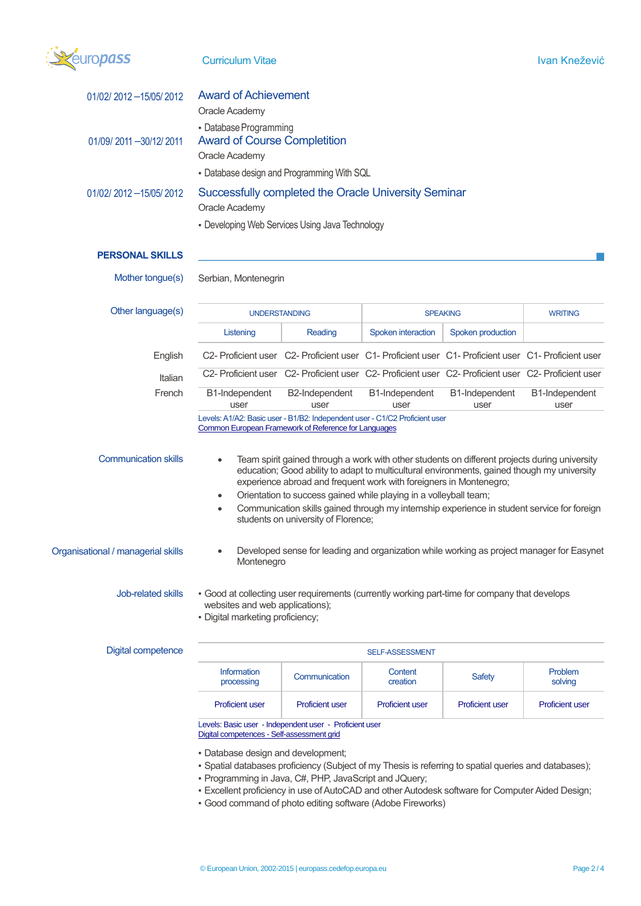

| 01/02/2012 - 15/05/2012            | <b>Award of Achievement</b><br>Oracle Academy                                                                                                                                                                                                                                                                                                                                                                                                                                                                        |                                                                                                     |                        |                        |                        |  |
|------------------------------------|----------------------------------------------------------------------------------------------------------------------------------------------------------------------------------------------------------------------------------------------------------------------------------------------------------------------------------------------------------------------------------------------------------------------------------------------------------------------------------------------------------------------|-----------------------------------------------------------------------------------------------------|------------------------|------------------------|------------------------|--|
| 01/09/2011 - 30/12/2011            | - Database Programming<br><b>Award of Course Completition</b><br>Oracle Academy                                                                                                                                                                                                                                                                                                                                                                                                                                      |                                                                                                     |                        |                        |                        |  |
|                                    | - Database design and Programming With SQL                                                                                                                                                                                                                                                                                                                                                                                                                                                                           |                                                                                                     |                        |                        |                        |  |
| 01/02/2012 - 15/05/2012            | Successfully completed the Oracle University Seminar                                                                                                                                                                                                                                                                                                                                                                                                                                                                 |                                                                                                     |                        |                        |                        |  |
|                                    | Oracle Academy<br>- Developing Web Services Using Java Technology                                                                                                                                                                                                                                                                                                                                                                                                                                                    |                                                                                                     |                        |                        |                        |  |
|                                    |                                                                                                                                                                                                                                                                                                                                                                                                                                                                                                                      |                                                                                                     |                        |                        |                        |  |
| <b>PERSONAL SKILLS</b>             |                                                                                                                                                                                                                                                                                                                                                                                                                                                                                                                      |                                                                                                     |                        |                        |                        |  |
| Mother tongue(s)                   | Serbian, Montenegrin                                                                                                                                                                                                                                                                                                                                                                                                                                                                                                 |                                                                                                     |                        |                        |                        |  |
| Other language(s)                  | <b>UNDERSTANDING</b>                                                                                                                                                                                                                                                                                                                                                                                                                                                                                                 |                                                                                                     |                        | <b>SPEAKING</b>        | <b>WRITING</b>         |  |
|                                    | Listening                                                                                                                                                                                                                                                                                                                                                                                                                                                                                                            | Reading                                                                                             | Spoken interaction     | Spoken production      |                        |  |
| English                            |                                                                                                                                                                                                                                                                                                                                                                                                                                                                                                                      | C2- Proficient user C2- Proficient user C1- Proficient user C1- Proficient user C1- Proficient user |                        |                        |                        |  |
| Italian                            |                                                                                                                                                                                                                                                                                                                                                                                                                                                                                                                      | C2- Proficient user C2- Proficient user C2- Proficient user C2- Proficient user C2- Proficient user |                        |                        |                        |  |
| French                             | B1-Independent<br>user                                                                                                                                                                                                                                                                                                                                                                                                                                                                                               | B2-Independent<br>user                                                                              | B1-Independent<br>user | B1-Independent<br>user | B1-Independent<br>user |  |
|                                    | Levels: A1/A2: Basic user - B1/B2: Independent user - C1/C2 Proficient user<br>Common European Framework of Reference for Languages                                                                                                                                                                                                                                                                                                                                                                                  |                                                                                                     |                        |                        |                        |  |
| <b>Communication skills</b>        | Team spirit gained through a work with other students on different projects during university<br>$\bullet$<br>education; Good ability to adapt to multicultural environments, gained though my university<br>experience abroad and frequent work with foreigners in Montenegro;<br>Orientation to success gained while playing in a volleyball team;<br>$\bullet$<br>Communication skills gained through my internship experience in student service for foreign<br>$\bullet$<br>students on university of Florence; |                                                                                                     |                        |                        |                        |  |
| Organisational / managerial skills | Developed sense for leading and organization while working as project manager for Easynet<br>$\bullet$<br>Montenegro                                                                                                                                                                                                                                                                                                                                                                                                 |                                                                                                     |                        |                        |                        |  |
| <b>Job-related skills</b>          | . Good at collecting user requirements (currently working part-time for company that develops<br>websites and web applications);<br>· Digital marketing proficiency;                                                                                                                                                                                                                                                                                                                                                 |                                                                                                     |                        |                        |                        |  |
| <b>Digital competence</b>          | SELF-ASSESSMENT                                                                                                                                                                                                                                                                                                                                                                                                                                                                                                      |                                                                                                     |                        |                        |                        |  |
|                                    | Information<br>processing                                                                                                                                                                                                                                                                                                                                                                                                                                                                                            | Communication                                                                                       | Content<br>creation    | <b>Safety</b>          | Problem<br>solving     |  |
| <b>Proficient user</b>             |                                                                                                                                                                                                                                                                                                                                                                                                                                                                                                                      | <b>Proficient user</b>                                                                              | <b>Proficient user</b> | <b>Proficient user</b> | <b>Proficient user</b> |  |
|                                    | Levels: Basic user - Independent user - Proficient user<br>Digital competences - Self-assessment grid                                                                                                                                                                                                                                                                                                                                                                                                                |                                                                                                     |                        |                        |                        |  |

▪ Database design and development;

- Spatial databases proficiency (Subject of my Thesis is referring to spatial queries and databases);
- Programming in Java, C#, PHP, JavaScript and JQuery;
- Excellent proficiency in use of AutoCAD and other Autodesk software for Computer Aided Design;
- Good command of photo editing software (Adobe Fireworks)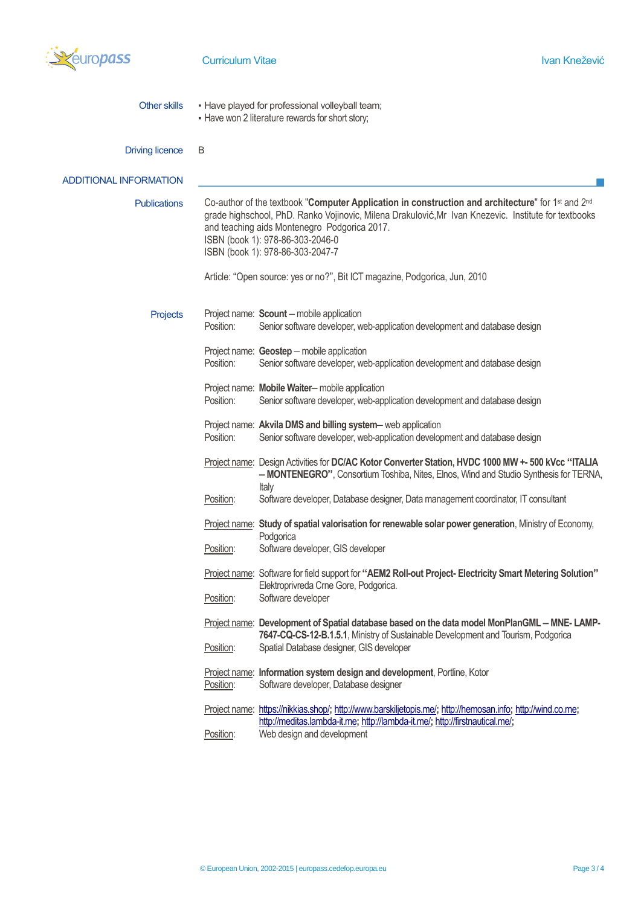

| Other skills | . Have played for professional volleyball team;  |
|--------------|--------------------------------------------------|
|              | - Have won 2 literature rewards for short story; |

| <b>Driving licence</b> | B |
|------------------------|---|
|                        |   |

| <b>ADDITIONAL INFORMATION</b> |                                                                                                                                                                                                                                                                                                                                   |                                                                                                                                                                                                                           |  |  |  |
|-------------------------------|-----------------------------------------------------------------------------------------------------------------------------------------------------------------------------------------------------------------------------------------------------------------------------------------------------------------------------------|---------------------------------------------------------------------------------------------------------------------------------------------------------------------------------------------------------------------------|--|--|--|
| <b>Publications</b>           | Co-author of the textbook "Computer Application in construction and architecture" for 1st and 2nd<br>grade highschool, PhD. Ranko Vojinovic, Milena Drakulović, Mr Ivan Knezevic. Institute for textbooks<br>and teaching aids Montenegro Podgorica 2017.<br>ISBN (book 1): 978-86-303-2046-0<br>ISBN (book 1): 978-86-303-2047-7 |                                                                                                                                                                                                                           |  |  |  |
|                               |                                                                                                                                                                                                                                                                                                                                   | Article: "Open source: yes or no?", Bit ICT magazine, Podgorica, Jun, 2010                                                                                                                                                |  |  |  |
| Projects                      | Position:                                                                                                                                                                                                                                                                                                                         | Project name: Scount - mobile application<br>Senior software developer, web-application development and database design                                                                                                   |  |  |  |
|                               | Position:                                                                                                                                                                                                                                                                                                                         | Project name: Geostep - mobile application<br>Senior software developer, web-application development and database design                                                                                                  |  |  |  |
|                               | Position:                                                                                                                                                                                                                                                                                                                         | Project name: Mobile Waiter-mobile application<br>Senior software developer, web-application development and database design                                                                                              |  |  |  |
|                               | Position:                                                                                                                                                                                                                                                                                                                         | Project name: Akvila DMS and billing system-web application<br>Senior software developer, web-application development and database design                                                                                 |  |  |  |
|                               |                                                                                                                                                                                                                                                                                                                                   | Project name: Design Activities for DC/AC Kotor Converter Station, HVDC 1000 MW +- 500 kVcc "ITALIA<br>- MONTENEGRO", Consortium Toshiba, Nites, Elnos, Wind and Studio Synthesis for TERNA,<br>Italy                     |  |  |  |
|                               | Position:                                                                                                                                                                                                                                                                                                                         | Software developer, Database designer, Data management coordinator, IT consultant                                                                                                                                         |  |  |  |
|                               |                                                                                                                                                                                                                                                                                                                                   | Project name: Study of spatial valorisation for renewable solar power generation, Ministry of Economy,<br>Podgorica                                                                                                       |  |  |  |
|                               | Position:                                                                                                                                                                                                                                                                                                                         | Software developer, GIS developer                                                                                                                                                                                         |  |  |  |
|                               |                                                                                                                                                                                                                                                                                                                                   | Project name: Software for field support for "AEM2 Roll-out Project-Electricity Smart Metering Solution"<br>Elektroprivreda Crne Gore, Podgorica.                                                                         |  |  |  |
|                               | Position:                                                                                                                                                                                                                                                                                                                         | Software developer                                                                                                                                                                                                        |  |  |  |
|                               |                                                                                                                                                                                                                                                                                                                                   | Project name: Development of Spatial database based on the data model MonPlanGML - MNE-LAMP-<br>7647-CQ-CS-12-B.1.5.1, Ministry of Sustainable Development and Tourism, Podgorica                                         |  |  |  |
|                               | Position:                                                                                                                                                                                                                                                                                                                         | Spatial Database designer, GIS developer                                                                                                                                                                                  |  |  |  |
|                               | Position:                                                                                                                                                                                                                                                                                                                         | Project name: Information system design and development, Portline, Kotor<br>Software developer, Database designer                                                                                                         |  |  |  |
|                               | Position:                                                                                                                                                                                                                                                                                                                         | Project name: https://nikkias.shop/; http://www.barskiljetopis.me/; http://hemosan.info; http://wind.co.me;<br>http://meditas.lambda-it.me; http://lambda-it.me/; http://firstnautical.me/;<br>Web design and development |  |  |  |